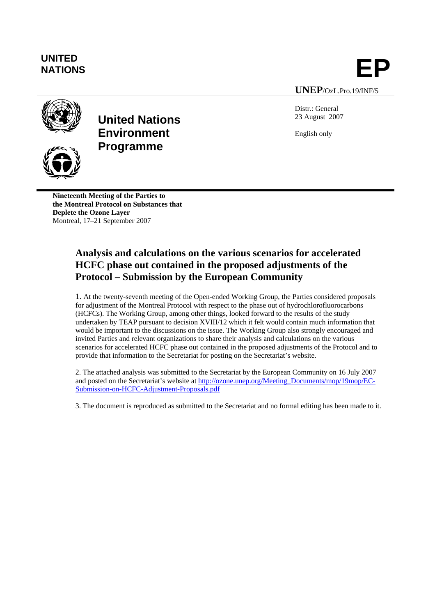## **UNITED**

# UNITED<br>NATIONS **EP**

**UNEP**/OzL.Pro.19/INF/5



## **United Nations Environment Programme**

Distr.: General 23 August 2007

English only

**Nineteenth Meeting of the Parties to the Montreal Protocol on Substances that Deplete the Ozone Layer**  Montreal, 17–21 September 2007

## **Analysis and calculations on the various scenarios for accelerated HCFC phase out contained in the proposed adjustments of the Protocol – Submission by the European Community**

1. At the twenty-seventh meeting of the Open-ended Working Group, the Parties considered proposals for adjustment of the Montreal Protocol with respect to the phase out of hydrochlorofluorocarbons (HCFCs). The Working Group, among other things, looked forward to the results of the study undertaken by TEAP pursuant to decision XVIII/12 which it felt would contain much information that would be important to the discussions on the issue. The Working Group also strongly encouraged and invited Parties and relevant organizations to share their analysis and calculations on the various scenarios for accelerated HCFC phase out contained in the proposed adjustments of the Protocol and to provide that information to the Secretariat for posting on the Secretariat's website.

2. The attached analysis was submitted to the Secretariat by the European Community on 16 July 2007 and posted on the Secretariat's website at http://ozone.unep.org/Meeting\_Documents/mop/19mop/EC-Submission-on-HCFC-Adjustment-Proposals.pdf

3. The document is reproduced as submitted to the Secretariat and no formal editing has been made to it.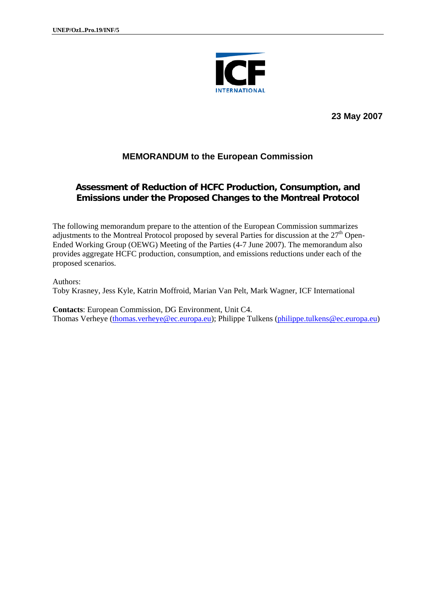

**23 May 2007** 

### **MEMORANDUM to the European Commission**

## **Assessment of Reduction of HCFC Production, Consumption, and Emissions under the Proposed Changes to the Montreal Protocol**

The following memorandum prepare to the attention of the European Commission summarizes adjustments to the Montreal Protocol proposed by several Parties for discussion at the  $27<sup>th</sup>$  Open-Ended Working Group (OEWG) Meeting of the Parties (4-7 June 2007). The memorandum also provides aggregate HCFC production, consumption, and emissions reductions under each of the proposed scenarios.

Authors: Toby Krasney, Jess Kyle, Katrin Moffroid, Marian Van Pelt, Mark Wagner, ICF International

**Contacts**: European Commission, DG Environment, Unit C4. Thomas Verheye (thomas.verheye@ec.europa.eu); Philippe Tulkens (philippe.tulkens@ec.europa.eu)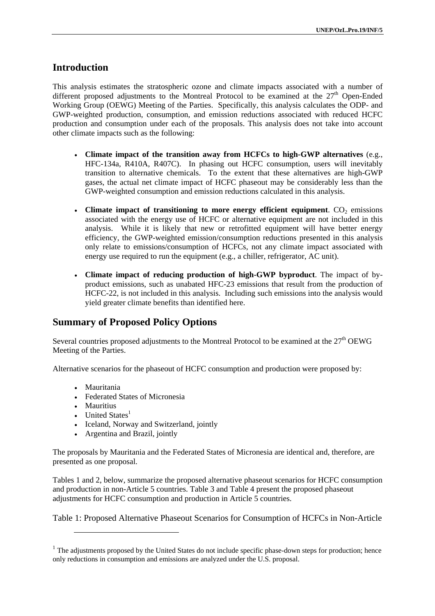## **Introduction**

This analysis estimates the stratospheric ozone and climate impacts associated with a number of different proposed adjustments to the Montreal Protocol to be examined at the  $27<sup>th</sup>$  Open-Ended Working Group (OEWG) Meeting of the Parties. Specifically, this analysis calculates the ODP- and GWP-weighted production, consumption, and emission reductions associated with reduced HCFC production and consumption under each of the proposals. This analysis does not take into account other climate impacts such as the following:

- **Climate impact of the transition away from HCFCs to high-GWP alternatives** (e.g., HFC-134a, R410A, R407C). In phasing out HCFC consumption, users will inevitably transition to alternative chemicals. To the extent that these alternatives are high-GWP gases, the actual net climate impact of HCFC phaseout may be considerably less than the GWP-weighted consumption and emission reductions calculated in this analysis.
- Climate impact of transitioning to more energy efficient equipment.  $CO<sub>2</sub>$  emissions associated with the energy use of HCFC or alternative equipment are not included in this analysis. While it is likely that new or retrofitted equipment will have better energy efficiency, the GWP-weighted emission/consumption reductions presented in this analysis only relate to emissions/consumption of HCFCs, not any climate impact associated with energy use required to run the equipment (e.g., a chiller, refrigerator, AC unit).
- **Climate impact of reducing production of high-GWP byproduct**. The impact of byproduct emissions, such as unabated HFC-23 emissions that result from the production of HCFC-22, is not included in this analysis. Including such emissions into the analysis would yield greater climate benefits than identified here.

## **Summary of Proposed Policy Options**

Several countries proposed adjustments to the Montreal Protocol to be examined at the  $27<sup>th</sup>$  OEWG Meeting of the Parties.

Alternative scenarios for the phaseout of HCFC consumption and production were proposed by:

- Mauritania
- Federated States of Micronesia
- Mauritius

l

- United States $<sup>1</sup>$ </sup>
- Iceland, Norway and Switzerland, jointly
- Argentina and Brazil, jointly

The proposals by Mauritania and the Federated States of Micronesia are identical and, therefore, are presented as one proposal.

Tables 1 and 2, below, summarize the proposed alternative phaseout scenarios for HCFC consumption and production in non-Article 5 countries. Table 3 and Table 4 present the proposed phaseout adjustments for HCFC consumption and production in Article 5 countries.

Table 1: Proposed Alternative Phaseout Scenarios for Consumption of HCFCs in Non-Article

 $<sup>1</sup>$  The adjustments proposed by the United States do not include specific phase-down steps for production; hence</sup> only reductions in consumption and emissions are analyzed under the U.S. proposal.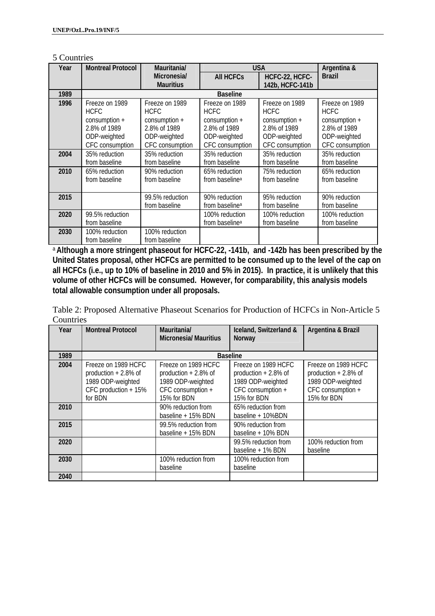| .) Countries |                          |                  |                            |                 |                 |
|--------------|--------------------------|------------------|----------------------------|-----------------|-----------------|
| Year         | <b>Montreal Protocol</b> | Mauritania/      |                            | <b>USA</b>      | Argentina &     |
|              |                          | Micronesia/      | <b>All HCFCs</b>           | HCFC-22, HCFC-  | <b>Brazil</b>   |
|              |                          | <b>Mauritius</b> |                            | 142b, HCFC-141b |                 |
| 1989         |                          |                  | <b>Baseline</b>            |                 |                 |
| 1996         | Freeze on 1989           | Freeze on 1989   | Freeze on 1989             | Freeze on 1989  | Freeze on 1989  |
|              | <b>HCFC</b>              | <b>HCFC</b>      | <b>HCFC</b>                | <b>HCFC</b>     | <b>HCFC</b>     |
|              | $consumption +$          | $consumption +$  | $consumption +$            | $consumption +$ | $consumption +$ |
|              | 2.8% of 1989             | 2.8% of 1989     | 2.8% of 1989               | 2.8% of 1989    | 2.8% of 1989    |
|              | ODP-weighted             | ODP-weighted     | ODP-weighted               | ODP-weighted    | ODP-weighted    |
|              | CFC consumption          | CFC consumption  | CFC consumption            | CFC consumption | CFC consumption |
| 2004         | 35% reduction            | 35% reduction    | 35% reduction              | 35% reduction   | 35% reduction   |
|              | from baseline            | from baseline    | from baseline              | from baseline   | from baseline   |
| 2010         | 65% reduction            | 90% reduction    | 65% reduction              | 75% reduction   | 65% reduction   |
|              | from baseline            | from baseline    | from baseline <sup>a</sup> | from baseline   | from baseline   |
|              |                          |                  |                            |                 |                 |
| 2015         |                          | 99.5% reduction  | 90% reduction              | 95% reduction   | 90% reduction   |
|              |                          | from baseline    | from baseline <sup>a</sup> | from baseline   | from baseline   |
| 2020         | 99.5% reduction          |                  | 100% reduction             | 100% reduction  | 100% reduction  |
|              | from baseline            |                  | from baseline <sup>a</sup> | from baseline   | from baseline   |
| 2030         | 100% reduction           | 100% reduction   |                            |                 |                 |
|              | from baseline            | from baseline    |                            |                 |                 |

#### 5 Countries

<sup>a</sup>**Although a more stringent phaseout for HCFC-22, -141b, and -142b has been prescribed by the United States proposal, other HCFCs are permitted to be consumed up to the level of the cap on all HCFCs (i.e., up to 10% of baseline in 2010 and 5% in 2015). In practice, it is unlikely that this volume of other HCFCs will be consumed. However, for comparability, this analysis models total allowable consumption under all proposals.** 

| Table 2: Proposed Alternative Phaseout Scenarios for Production of HCFCs in Non-Article 5 |  |
|-------------------------------------------------------------------------------------------|--|
| Countries                                                                                 |  |

| Year | <b>Montreal Protocol</b> | Mauritania/<br><b>Micronesia/ Mauritius</b> | Iceland, Switzerland &<br>Norway | Argentina & Brazil     |
|------|--------------------------|---------------------------------------------|----------------------------------|------------------------|
| 1989 |                          |                                             | <b>Baseline</b>                  |                        |
|      |                          |                                             |                                  |                        |
| 2004 | Freeze on 1989 HCFC      | Freeze on 1989 HCFC                         | Freeze on 1989 HCFC              | Freeze on 1989 HCFC    |
|      | production $+2.8\%$ of   | production $+2.8\%$ of                      | production $+2.8\%$ of           | production $+2.8\%$ of |
|      | 1989 ODP-weighted        | 1989 ODP-weighted                           | 1989 ODP-weighted                | 1989 ODP-weighted      |
|      | CFC production + 15%     | CFC consumption +                           | CFC consumption +                | CFC consumption +      |
|      | for BDN                  | 15% for BDN                                 | 15% for BDN                      | 15% for BDN            |
| 2010 |                          | 90% reduction from                          | 65% reduction from               |                        |
|      |                          | baseline + 15% BDN                          | baseline + 10%BDN                |                        |
| 2015 |                          | 99.5% reduction from                        | 90% reduction from               |                        |
|      |                          | baseline $+15%$ BDN                         | baseline + 10% BDN               |                        |
| 2020 |                          |                                             | 99.5% reduction from             | 100% reduction from    |
|      |                          |                                             | baseline + 1% BDN                | baseline               |
| 2030 |                          | 100% reduction from                         | 100% reduction from              |                        |
|      |                          | baseline                                    | baseline                         |                        |
| 2040 |                          |                                             |                                  |                        |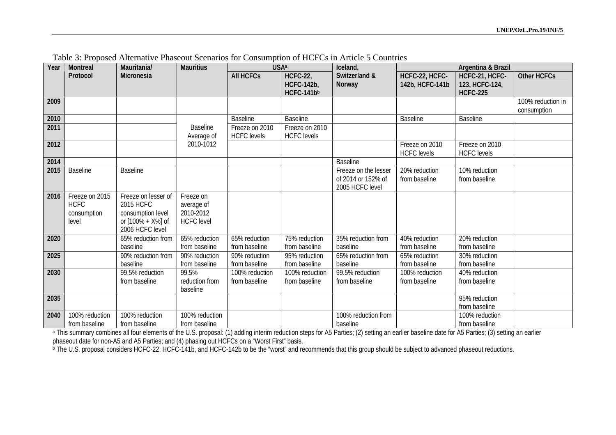| Year | <b>Montreal</b>                                       | Mauritania/                                                                                   | <b>Mauritius</b>                                          | <b>USA</b> <sup>a</sup>              |                                                    | Iceland,                                                      | Argentina & Brazil                   |                                                     |                                  |
|------|-------------------------------------------------------|-----------------------------------------------------------------------------------------------|-----------------------------------------------------------|--------------------------------------|----------------------------------------------------|---------------------------------------------------------------|--------------------------------------|-----------------------------------------------------|----------------------------------|
|      | Protocol                                              | Micronesia                                                                                    |                                                           | <b>All HCFCs</b>                     | <b>HCFC-22,</b><br><b>HCFC-142b,</b><br>HCFC-141bb | Switzerland &<br>Norway                                       | HCFC-22, HCFC-<br>142b, HCFC-141b    | HCFC-21, HCFC-<br>123, HCFC-124,<br><b>HCFC-225</b> | <b>Other HCFCs</b>               |
| 2009 |                                                       |                                                                                               |                                                           |                                      |                                                    |                                                               |                                      |                                                     | 100% reduction in<br>consumption |
| 2010 |                                                       |                                                                                               |                                                           | <b>Baseline</b>                      | <b>Baseline</b>                                    |                                                               | <b>Baseline</b>                      | Baseline                                            |                                  |
| 2011 |                                                       |                                                                                               | <b>Baseline</b><br>Average of                             | Freeze on 2010<br><b>HCFC</b> levels | Freeze on 2010<br><b>HCFC</b> levels               |                                                               |                                      |                                                     |                                  |
| 2012 |                                                       |                                                                                               | 2010-1012                                                 |                                      |                                                    |                                                               | Freeze on 2010<br><b>HCFC</b> levels | Freeze on 2010<br><b>HCFC</b> levels                |                                  |
| 2014 |                                                       |                                                                                               |                                                           |                                      |                                                    | <b>Baseline</b>                                               |                                      |                                                     |                                  |
| 2015 | <b>Baseline</b>                                       | <b>Baseline</b>                                                                               |                                                           |                                      |                                                    | Freeze on the lesser<br>of 2014 or 152% of<br>2005 HCFC level | 20% reduction<br>from baseline       | 10% reduction<br>from baseline                      |                                  |
| 2016 | Freeze on 2015<br><b>HCFC</b><br>consumption<br>level | Freeze on lesser of<br>2015 HCFC<br>consumption level<br>or [100% + X%] of<br>2006 HCFC level | Freeze on<br>average of<br>2010-2012<br><b>HCFC</b> level |                                      |                                                    |                                                               |                                      |                                                     |                                  |
| 2020 |                                                       | 65% reduction from<br>baseline                                                                | 65% reduction<br>from baseline                            | 65% reduction<br>from baseline       | 75% reduction<br>from baseline                     | 35% reduction from<br>baseline                                | 40% reduction<br>from baseline       | 20% reduction<br>from baseline                      |                                  |
| 2025 |                                                       | 90% reduction from<br>baseline                                                                | 90% reduction<br>from baseline                            | 90% reduction<br>from baseline       | 95% reduction<br>from baseline                     | 65% reduction from<br>baseline                                | 65% reduction<br>from baseline       | 30% reduction<br>from baseline                      |                                  |
| 2030 |                                                       | 99.5% reduction<br>from baseline                                                              | 99.5%<br>reduction from<br>baseline                       | 100% reduction<br>from baseline      | 100% reduction<br>from baseline                    | 99.5% reduction<br>from baseline                              | 100% reduction<br>from baseline      | 40% reduction<br>from baseline                      |                                  |
| 2035 |                                                       |                                                                                               |                                                           |                                      |                                                    |                                                               |                                      | 95% reduction<br>from baseline                      |                                  |
| 2040 | 100% reduction<br>from baseline                       | 100% reduction<br>from baseline                                                               | 100% reduction<br>from baseline                           |                                      |                                                    | 100% reduction from<br>baseline                               |                                      | 100% reduction<br>from baseline                     |                                  |

Table 3: Proposed Alternative Phaseout Scenarios for Consumption of HCFCs in Article 5 Countries

a This summary combines all four elements of the U.S. proposal: (1) adding interim reduction steps for A5 Parties; (2) setting an earlier baseline date for A5 Parties; (3) setting an earlier phaseout date for non-A5 and A5 Parties; and (4) phasing out HCFCs on a "Worst First" basis.

b The U.S. proposal considers HCFC-22, HCFC-141b, and HCFC-142b to be the "worst" and recommends that this group should be subject to advanced phaseout reductions.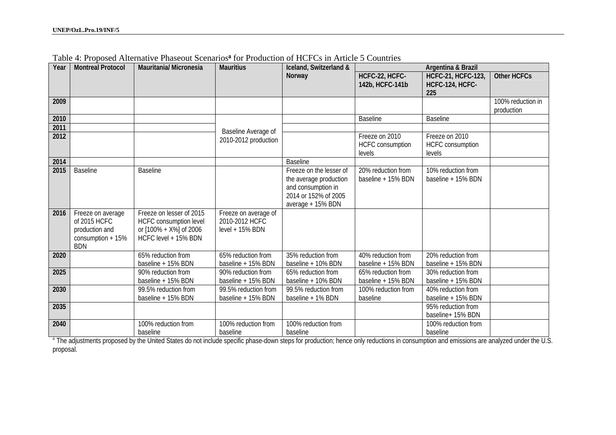| Year | <b>Montreal Protocol</b>                                                                | <b>Mauritania/ Micronesia</b>                                                                                   | <b>Mauritius</b>                                          | Iceland, Switzerland &                                                                                               | Argentina & Brazil                                  |                                                     |                                 |
|------|-----------------------------------------------------------------------------------------|-----------------------------------------------------------------------------------------------------------------|-----------------------------------------------------------|----------------------------------------------------------------------------------------------------------------------|-----------------------------------------------------|-----------------------------------------------------|---------------------------------|
|      |                                                                                         |                                                                                                                 |                                                           | Norway                                                                                                               | HCFC-22, HCFC-<br>142b, HCFC-141b                   | <b>HCFC-21, HCFC-123,</b><br>HCFC-124, HCFC-<br>225 | <b>Other HCFCs</b>              |
| 2009 |                                                                                         |                                                                                                                 |                                                           |                                                                                                                      |                                                     |                                                     | 100% reduction in<br>production |
| 2010 |                                                                                         |                                                                                                                 |                                                           |                                                                                                                      | <b>Baseline</b>                                     | <b>Baseline</b>                                     |                                 |
| 2011 |                                                                                         |                                                                                                                 | Baseline Average of                                       |                                                                                                                      |                                                     |                                                     |                                 |
| 2012 |                                                                                         |                                                                                                                 | 2010-2012 production                                      |                                                                                                                      | Freeze on 2010<br><b>HCFC</b> consumption<br>levels | Freeze on 2010<br><b>HCFC</b> consumption<br>levels |                                 |
| 2014 |                                                                                         |                                                                                                                 |                                                           | <b>Baseline</b>                                                                                                      |                                                     |                                                     |                                 |
| 2015 | <b>Baseline</b>                                                                         | <b>Baseline</b>                                                                                                 |                                                           | Freeze on the lesser of<br>the average production<br>and consumption in<br>2014 or 152% of 2005<br>average + 15% BDN | 20% reduction from<br>baseline + 15% BDN            | 10% reduction from<br>baseline + 15% BDN            |                                 |
| 2016 | Freeze on average<br>of 2015 HCFC<br>production and<br>consumption $+15%$<br><b>BDN</b> | Freeze on lesser of 2015<br><b>HCFC</b> consumption level<br>or $[100\% + X\%]$ of 2006<br>HCFC level + 15% BDN | Freeze on average of<br>2010-2012 HCFC<br>level + 15% BDN |                                                                                                                      |                                                     |                                                     |                                 |
| 2020 |                                                                                         | 65% reduction from<br>baseline + 15% BDN                                                                        | 65% reduction from<br>baseline + 15% BDN                  | 35% reduction from<br>baseline + 10% BDN                                                                             | 40% reduction from<br>baseline + 15% BDN            | 20% reduction from<br>baseline + 15% BDN            |                                 |
| 2025 |                                                                                         | 90% reduction from<br>baseline + 15% BDN                                                                        | 90% reduction from<br>baseline + 15% BDN                  | 65% reduction from<br>baseline + 10% BDN                                                                             | 65% reduction from<br>baseline + 15% BDN            | 30% reduction from<br>baseline + 15% BDN            |                                 |
| 2030 |                                                                                         | 99.5% reduction from<br>baseline + 15% BDN                                                                      | 99.5% reduction from<br>baseline + 15% BDN                | 99.5% reduction from<br>baseline + 1% BDN                                                                            | 100% reduction from<br>baseline                     | 40% reduction from<br>baseline + 15% BDN            |                                 |
| 2035 |                                                                                         |                                                                                                                 |                                                           |                                                                                                                      |                                                     | 95% reduction from<br>baseline+ 15% BDN             |                                 |
| 2040 |                                                                                         | 100% reduction from<br>baseline                                                                                 | 100% reduction from<br>baseline                           | 100% reduction from<br>baseline                                                                                      |                                                     | 100% reduction from<br>baseline                     |                                 |

Table 4: Proposed Alternative Phaseout Scenarios**a** for Production of HCFCs in Article 5 Countries

a The adjustments proposed by the United States do not include specific phase-down steps for production; hence only reductions in consumption and emissions are analyzed under the U.S. proposal.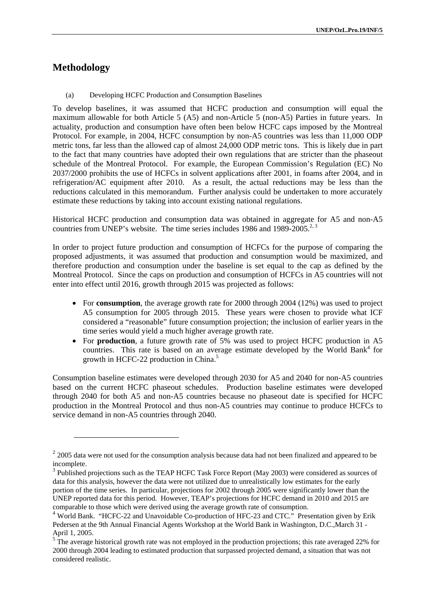## **Methodology**

l

(a) Developing HCFC Production and Consumption Baselines

To develop baselines, it was assumed that HCFC production and consumption will equal the maximum allowable for both Article 5 (A5) and non-Article 5 (non-A5) Parties in future years. In actuality, production and consumption have often been below HCFC caps imposed by the Montreal Protocol. For example, in 2004, HCFC consumption by non-A5 countries was less than 11,000 ODP metric tons, far less than the allowed cap of almost 24,000 ODP metric tons. This is likely due in part to the fact that many countries have adopted their own regulations that are stricter than the phaseout schedule of the Montreal Protocol. For example, the European Commission's Regulation (EC) No 2037/2000 prohibits the use of HCFCs in solvent applications after 2001, in foams after 2004, and in refrigeration/AC equipment after 2010. As a result, the actual reductions may be less than the reductions calculated in this memorandum. Further analysis could be undertaken to more accurately estimate these reductions by taking into account existing national regulations.

Historical HCFC production and consumption data was obtained in aggregate for A5 and non-A5 countries from UNEP's website. The time series includes 1986 and 1989-2005.<sup>2, 3</sup>

In order to project future production and consumption of HCFCs for the purpose of comparing the proposed adjustments, it was assumed that production and consumption would be maximized, and therefore production and consumption under the baseline is set equal to the cap as defined by the Montreal Protocol. Since the caps on production and consumption of HCFCs in A5 countries will not enter into effect until 2016, growth through 2015 was projected as follows:

- For **consumption**, the average growth rate for 2000 through 2004 (12%) was used to project A5 consumption for 2005 through 2015. These years were chosen to provide what ICF considered a "reasonable" future consumption projection; the inclusion of earlier years in the time series would yield a much higher average growth rate.
- For **production**, a future growth rate of 5% was used to project HCFC production in A5 countries. This rate is based on an average estimate developed by the World Bank<sup>4</sup> for growth in HCFC-22 production in China.<sup>5</sup>

Consumption baseline estimates were developed through 2030 for A5 and 2040 for non-A5 countries based on the current HCFC phaseout schedules. Production baseline estimates were developed through 2040 for both A5 and non-A5 countries because no phaseout date is specified for HCFC production in the Montreal Protocol and thus non-A5 countries may continue to produce HCFCs to service demand in non-A5 countries through 2040.

<sup>&</sup>lt;sup>2</sup> 2005 data were not used for the consumption analysis because data had not been finalized and appeared to be incomplete.

<sup>&</sup>lt;sup>3</sup> Published projections such as the TEAP HCFC Task Force Report (May 2003) were considered as sources of data for this analysis, however the data were not utilized due to unrealistically low estimates for the early portion of the time series. In particular, projections for 2002 through 2005 were significantly lower than the UNEP reported data for this period. However, TEAP's projections for HCFC demand in 2010 and 2015 are comparable to those which were derived using the average growth rate of consumption.

<sup>&</sup>lt;sup>4</sup> World Bank. "HCFC-22 and Unavoidable Co-production of HFC-23 and CTC." Presentation given by Erik Pedersen at the 9th Annual Financial Agents Workshop at the World Bank in Washington, D.C.,March 31 - April 1, 2005.

 $5\text{ }$ The average historical growth rate was not employed in the production projections; this rate averaged 22% for 2000 through 2004 leading to estimated production that surpassed projected demand, a situation that was not considered realistic.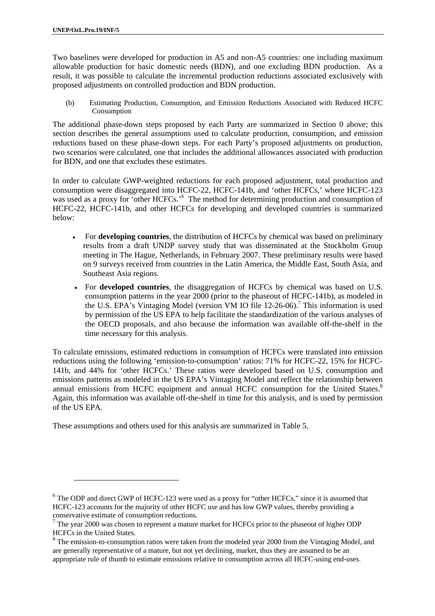l

Two baselines were developed for production in A5 and non-A5 countries: one including maximum allowable production for basic domestic needs (BDN), and one excluding BDN production. As a result, it was possible to calculate the incremental production reductions associated exclusively with proposed adjustments on controlled production and BDN production.

(b) Estimating Production, Consumption, and Emission Reductions Associated with Reduced HCFC Consumption

The additional phase-down steps proposed by each Party are summarized in Section 0 above; this section describes the general assumptions used to calculate production, consumption, and emission reductions based on these phase-down steps. For each Party's proposed adjustments on production, two scenarios were calculated, one that includes the additional allowances associated with production for BDN, and one that excludes these estimates.

In order to calculate GWP-weighted reductions for each proposed adjustment, total production and consumption were disaggregated into HCFC-22, HCFC-141b, and 'other HCFCs,' where HCFC-123 was used as a proxy for 'other HCFCs.'<sup>6</sup> The method for determining production and consumption of HCFC-22, HCFC-141b, and other HCFCs for developing and developed countries is summarized below:

- For **developing countries**, the distribution of HCFCs by chemical was based on preliminary results from a draft UNDP survey study that was disseminated at the Stockholm Group meeting in The Hague, Netherlands, in February 2007. These preliminary results were based on 9 surveys received from countries in the Latin America, the Middle East, South Asia, and Southeast Asia regions.
- For **developed countries**, the disaggregation of HCFCs by chemical was based on U.S. consumption patterns in the year 2000 (prior to the phaseout of HCFC-141b), as modeled in the U.S. EPA's Vintaging Model (version VM IO file  $12{\text -}26{\text -}06$ ).<sup>7</sup> This information is used by permission of the US EPA to help facilitate the standardization of the various analyses of the OECD proposals, and also because the information was available off-the-shelf in the time necessary for this analysis.

To calculate emissions, estimated reductions in consumption of HCFCs were translated into emission reductions using the following 'emission-to-consumption' ratios: 71% for HCFC-22, 15% for HCFC-141b, and 44% for 'other HCFCs.' These ratios were developed based on U.S. consumption and emissions patterns as modeled in the US EPA's Vintaging Model and reflect the relationship between annual emissions from HCFC equipment and annual HCFC consumption for the United States.<sup>8</sup> Again, this information was available off-the-shelf in time for this analysis, and is used by permission of the US EPA.

These assumptions and others used for this analysis are summarized in Table 5.

<sup>&</sup>lt;sup>6</sup> The ODP and direct GWP of HCFC-123 were used as a proxy for "other HCFCs," since it is assumed that HCFC-123 accounts for the majority of other HCFC use and has low GWP values, thereby providing a conservative estimate of consumption reductions.

<sup>&</sup>lt;sup>7</sup> The year 2000 was chosen to represent a mature market for HCFCs prior to the phaseout of higher ODP HCFCs in the United States.

<sup>&</sup>lt;sup>8</sup> The emission-to-consumption ratios were taken from the modeled year 2000 from the Vintaging Model, and are generally representative of a mature, but not yet declining, market, thus they are assumed to be an appropriate rule of thumb to estimate emissions relative to consumption across all HCFC-using end-uses.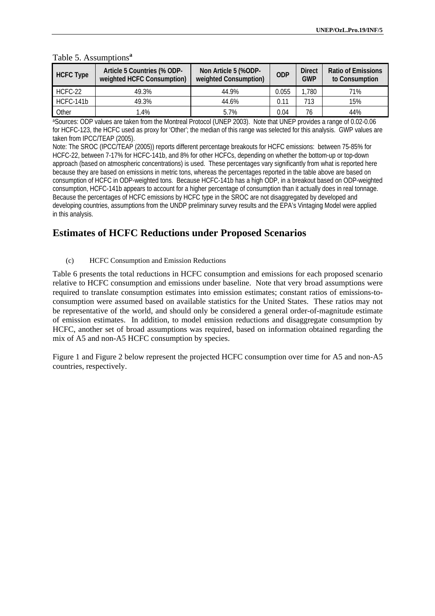| <b>HCFC Type</b> | Article 5 Countries (% ODP-<br>weighted HCFC Consumption) | Non Article 5 (%ODP-<br>weighted Consumption) | <b>ODP</b> | <b>Direct</b><br><b>GWP</b> | <b>Ratio of Emissions</b><br>to Consumption |
|------------------|-----------------------------------------------------------|-----------------------------------------------|------------|-----------------------------|---------------------------------------------|
| HCFC-22          | 49.3%                                                     | 44.9%                                         | 0.055      | .780                        | 71%                                         |
| HCFC-141b        | 49.3%                                                     | 44.6%                                         | 0.11       | 713                         | 15%                                         |
| Other            | 1.4%                                                      | 5.7%                                          | 0.04       | 76                          | 44%                                         |

#### Table 5. Assumptions**<sup>a</sup>**

aSources: ODP values are taken from the Montreal Protocol (UNEP 2003). Note that UNEP provides a range of 0.02-0.06 for HCFC-123, the HCFC used as proxy for 'Other'; the median of this range was selected for this analysis. GWP values are taken from IPCC/TEAP (2005).

Note: The SROC (IPCC/TEAP (2005)) reports different percentage breakouts for HCFC emissions: between 75-85% for HCFC-22, between 7-17% for HCFC-141b, and 8% for other HCFCs, depending on whether the bottom-up or top-down approach (based on atmospheric concentrations) is used. These percentages vary significantly from what is reported here because they are based on emissions in metric tons, whereas the percentages reported in the table above are based on consumption of HCFC in ODP-weighted tons. Because HCFC-141b has a high ODP, in a breakout based on ODP-weighted consumption, HCFC-141b appears to account for a higher percentage of consumption than it actually does in real tonnage. Because the percentages of HCFC emissions by HCFC type in the SROC are not disaggregated by developed and developing countries, assumptions from the UNDP preliminary survey results and the EPA's Vintaging Model were applied in this analysis.

## **Estimates of HCFC Reductions under Proposed Scenarios**

(c) HCFC Consumption and Emission Reductions

Table 6 presents the total reductions in HCFC consumption and emissions for each proposed scenario relative to HCFC consumption and emissions under baseline. Note that very broad assumptions were required to translate consumption estimates into emission estimates; constant ratios of emissions-toconsumption were assumed based on available statistics for the United States. These ratios may not be representative of the world, and should only be considered a general order-of-magnitude estimate of emission estimates. In addition, to model emission reductions and disaggregate consumption by HCFC, another set of broad assumptions was required, based on information obtained regarding the mix of A5 and non-A5 HCFC consumption by species.

Figure 1 and Figure 2 below represent the projected HCFC consumption over time for A5 and non-A5 countries, respectively.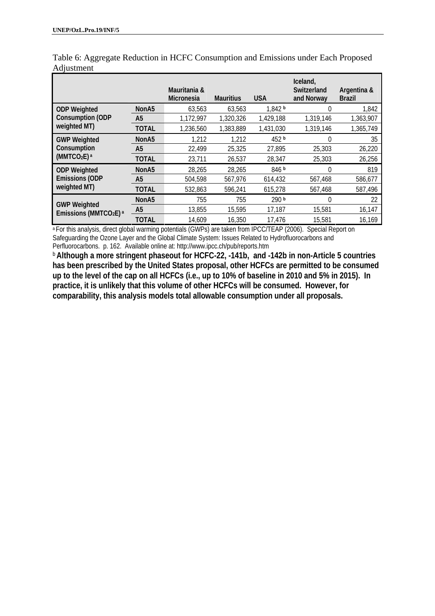|                                                         |                   | Mauritania &<br><b>Micronesia</b> | <b>Mauritius</b> | <b>USA</b>       | Iceland,<br>Switzerland<br>and Norway | Argentina &<br><b>Brazil</b> |
|---------------------------------------------------------|-------------------|-----------------------------------|------------------|------------------|---------------------------------------|------------------------------|
| <b>ODP Weighted</b>                                     | NonA <sub>5</sub> | 63.563                            | 63.563           | 1,842 b          | 0                                     | 1,842                        |
| <b>Consumption (ODP</b>                                 | A <sub>5</sub>    | 1,172,997                         | 1,320,326        | 1,429,188        | 1,319,146                             | 1,363,907                    |
| weighted MT)                                            | <b>TOTAL</b>      | 1,236,560                         | 1,383,889        | 1,431,030        | 1,319,146                             | 1,365,749                    |
| <b>GWP Weighted</b>                                     | NonA <sub>5</sub> | 1,212                             | 1,212            | 452 b            | 0                                     | 35                           |
| Consumption                                             | A <sub>5</sub>    | 22,499                            | 25,325           | 27,895           | 25,303                                | 26,220                       |
| (MMTCO <sub>2</sub> E) <sub>a</sub>                     | <b>TOTAL</b>      | 23,711                            | 26,537           | 28,347           | 25,303                                | 26,256                       |
| <b>ODP Weighted</b>                                     | NonA5             | 28,265                            | 28,265           | 846 b            | 0                                     | 819                          |
| <b>Emissions (ODP</b><br>weighted MT)                   | A <sub>5</sub>    | 504,598                           | 567,976          | 614,432          | 567,468                               | 586,677                      |
|                                                         | <b>TOTAL</b>      | 532,863                           | 596,241          | 615,278          | 567,468                               | 587,496                      |
|                                                         | NonA5             | 755                               | 755              | 290 <sub>b</sub> | 0                                     | 22                           |
| <b>GWP Weighted</b><br>Emissions (MMTCO2E) <sup>a</sup> | A <sub>5</sub>    | 13,855                            | 15,595           | 17,187           | 15,581                                | 16,147                       |
|                                                         | <b>TOTAL</b>      | 14,609                            | 16,350           | 17,476           | 15,581                                | 16,169                       |

Table 6: Aggregate Reduction in HCFC Consumption and Emissions under Each Proposed Adjustment

<sup>a</sup> For this analysis, direct global warming potentials (GWPs) are taken from IPCC/TEAP (2006). Special Report on Safeguarding the Ozone Layer and the Global Climate System: Issues Related to Hydrofluorocarbons and Perfluorocarbons. p. 162. Available online at: http://www.ipcc.ch/pub/reports.htm

**b** Although a more stringent phaseout for HCFC-22, -141b, and -142b in non-Article 5 countries **has been prescribed by the United States proposal, other HCFCs are permitted to be consumed up to the level of the cap on all HCFCs (i.e., up to 10% of baseline in 2010 and 5% in 2015). In practice, it is unlikely that this volume of other HCFCs will be consumed. However, for comparability, this analysis models total allowable consumption under all proposals.**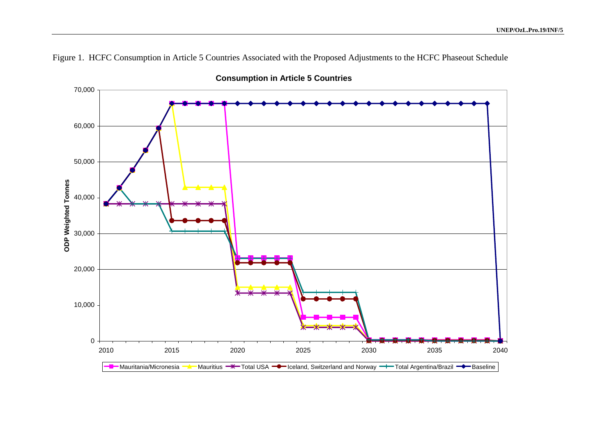

Figure 1. HCFC Consumption in Article 5 Countries Associated with the Proposed Adjustments to the HCFC Phaseout Schedule

**Consumption in Article 5 Countries**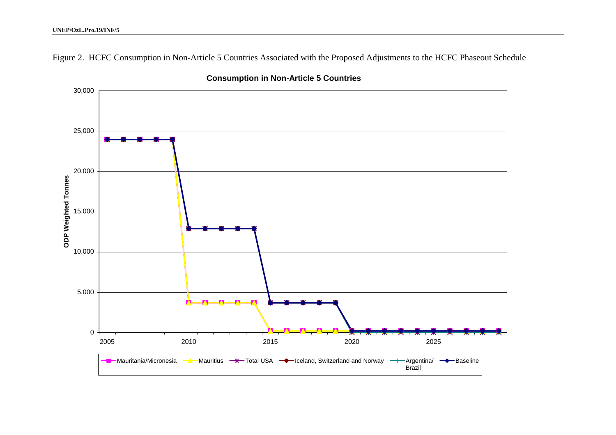#### **UNEP/OzL.Pro.19/INF/5**

30,000 25,000 20,000 **ODP Weighted Tonnes ODP Weighted Tonnes** 15,000 10,000 5,000 0 2005 2010 2015 2020 2025**Mauritania/Micronesia** a **A** Mauritius **W** Total USA **-C** Iceland, Switzerland and Norway - Argentina/ - Baseline Brazil

**Consumption in Non-Article 5 Countries**

Figure 2. HCFC Consumption in Non-Article 5 Countries Associated with the Proposed Adjustments to the HCFC Phaseout Schedule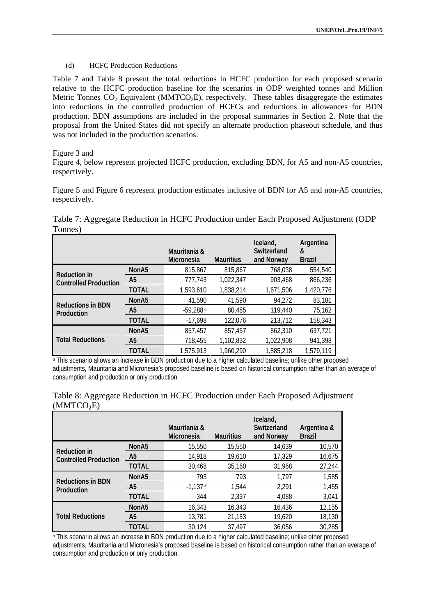#### (d) HCFC Production Reductions

Table 7 and Table 8 present the total reductions in HCFC production for each proposed scenario relative to the HCFC production baseline for the scenarios in ODP weighted tonnes and Million Metric Tonnes  $CO_2$  Equivalent (MMTCO<sub>2</sub>E), respectively. These tables disaggregate the estimates into reductions in the controlled production of HCFCs and reductions in allowances for BDN production. BDN assumptions are included in the proposal summaries in Section 2. Note that the proposal from the United States did not specify an alternate production phaseout schedule, and thus was not included in the production scenarios.

#### Figure 3 and

Figure 4, below represent projected HCFC production, excluding BDN, for A5 and non-A5 countries, respectively.

Figure 5 and Figure 6 represent production estimates inclusive of BDN for A5 and non-A5 countries, respectively.

Table 7: Aggregate Reduction in HCFC Production under Each Proposed Adjustment (ODP Tonnes)

|                              |                   | Mauritania &<br><b>Micronesia</b> | <b>Mauritius</b> | Iceland,<br>Switzerland<br>and Norway | Argentina<br>&<br><b>Brazil</b> |
|------------------------------|-------------------|-----------------------------------|------------------|---------------------------------------|---------------------------------|
| <b>Reduction in</b>          | NonA <sub>5</sub> | 815,867                           | 815,867          | 768,038                               | 554,540                         |
| <b>Controlled Production</b> | A <sub>5</sub>    | 777,743                           | 1,022,347        | 903.468                               | 866,236                         |
|                              | <b>TOTAL</b>      | 1,593,610                         | 1,838,214        | 1,671,506                             | 1,420,776                       |
| <b>Reductions in BDN</b>     | NonA <sub>5</sub> | 41,590                            | 41.590           | 94,272                                | 83,181                          |
| Production                   | A <sub>5</sub>    | $-59,288a$                        | 80,485           | 119,440                               | 75,162                          |
|                              | <b>TOTAL</b>      | $-17,698$                         | 122,076          | 213,712                               | 158,343                         |
|                              | NonA <sub>5</sub> | 857.457                           | 857.457          | 862,310                               | 637,721                         |
| <b>Total Reductions</b>      | A <sub>5</sub>    | 718,455                           | 1,102,832        | 1,022,908                             | 941,398                         |
|                              | <b>TOTAL</b>      | 1,575,913                         | 1,960,290        | 1,885,218                             | 1,579,119                       |

a This scenario allows an increase in BDN production due to a higher calculated baseline; unlike other proposed adjustments, Mauritania and Micronesia's proposed baseline is based on historical consumption rather than an average of consumption and production or only production.

| (NINI U. 2E)                                        |                   |                                   |                  |                                       |                              |
|-----------------------------------------------------|-------------------|-----------------------------------|------------------|---------------------------------------|------------------------------|
|                                                     |                   | Mauritania &<br><b>Micronesia</b> | <b>Mauritius</b> | Iceland,<br>Switzerland<br>and Norway | Argentina &<br><b>Brazil</b> |
| <b>Reduction in</b><br><b>Controlled Production</b> | NonA <sub>5</sub> | 15,550                            | 15,550           | 14.639                                | 10,570                       |
|                                                     | A <sub>5</sub>    | 14,918                            | 19,610           | 17,329                                | 16,675                       |
|                                                     | <b>TOTAL</b>      | 30,468                            | 35,160           | 31,968                                | 27,244                       |
|                                                     | NonA <sub>5</sub> | 793                               | 793              | 1,797                                 | 1,585                        |
| <b>Reductions in BDN</b><br>Production              | A5                | $-1,137a$                         | 1.544            | 2,291                                 | 1,455                        |
|                                                     | TOTAL             | $-344$                            | 2,337            | 4,088                                 | 3,041                        |
|                                                     | NonA <sub>5</sub> | 16,343                            | 16,343           | 16,436                                | 12,155                       |
| <b>Total Reductions</b>                             | A <sub>5</sub>    | 13,781                            | 21,153           | 19,620                                | 18,130                       |
|                                                     | TOTAL             | 30,124                            | 37.497           | 36.056                                | 30,285                       |

Table 8: Aggregate Reduction in HCFC Production under Each Proposed Adjustment  $(MNTCA)$  $E$ 

<sup>a</sup> This scenario allows an increase in BDN production due to a higher calculated baseline; unlike other proposed adjustments, Mauritania and Micronesia's proposed baseline is based on historical consumption rather than an average of consumption and production or only production.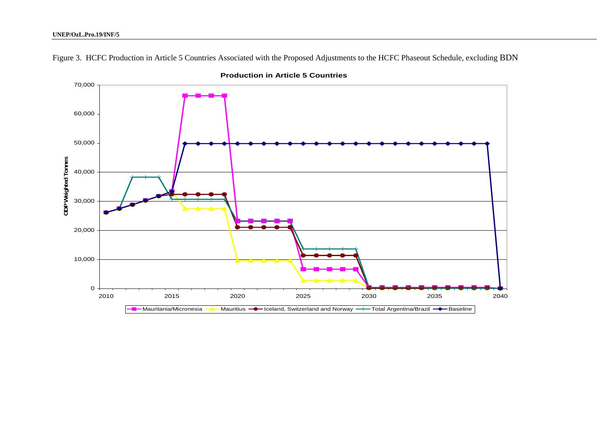

Figure 3. HCFC Production in Article 5 Countries Associated with the Proposed Adjustments to the HCFC Phaseout Schedule, excluding BDN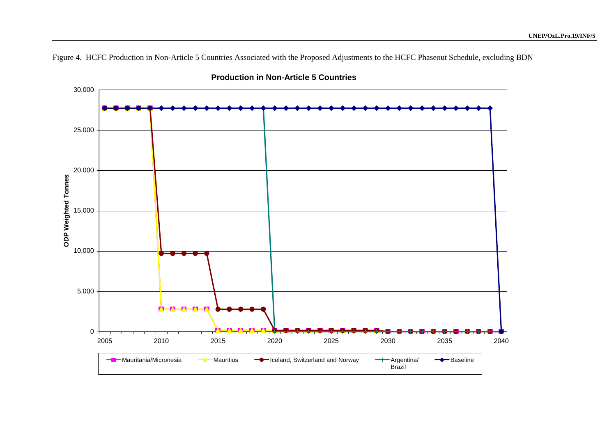Figure 4. HCFC Production in Non-Article 5 Countries Associated with the Proposed Adjustments to the HCFC Phaseout Schedule, excluding BDN



**Production in Non-Article 5 Countries**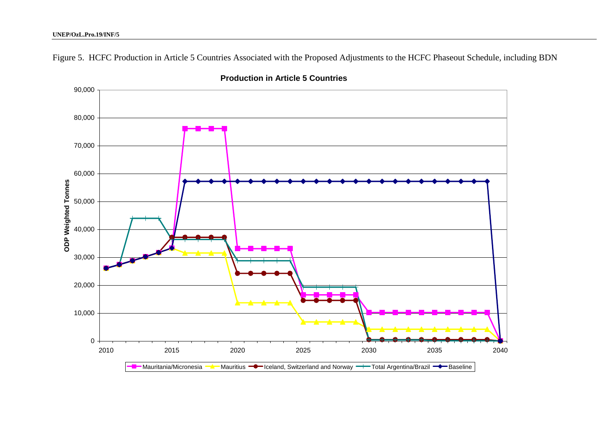Figure 5. HCFC Production in Article 5 Countries Associated with the Proposed Adjustments to the HCFC Phaseout Schedule, including BDN



**Production in Article 5 Countries**